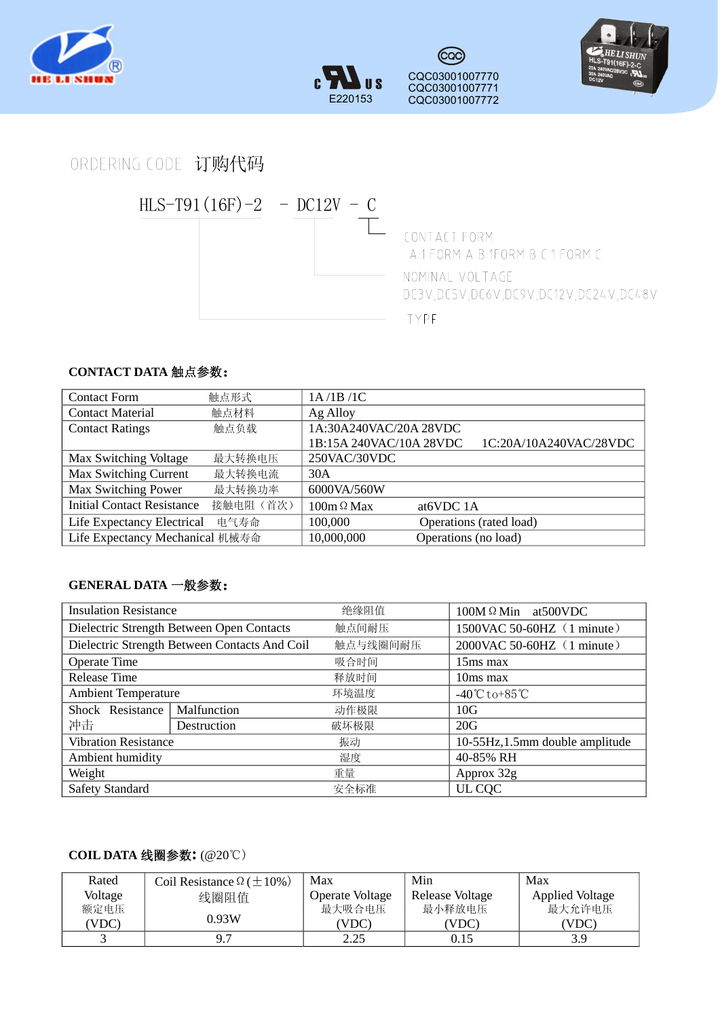





ORDERING CODE 订购代码



## **CONTACT DATA** 触点参数:

| <b>Contact Form</b>                | 触点形式      | 1A/1B/1C                |                         |                        |
|------------------------------------|-----------|-------------------------|-------------------------|------------------------|
| <b>Contact Material</b>            | 触点材料      | Ag Alloy                |                         |                        |
| <b>Contact Ratings</b>             | 触点负载      | 1A:30A240VAC/20A 28VDC  |                         |                        |
|                                    |           | 1B:15A 240VAC/10A 28VDC |                         | 1C:20A/10A240VAC/28VDC |
| Max Switching Voltage              | 最大转换电压    | 250VAC/30VDC            |                         |                        |
| Max Switching Current              | 最大转换电流    | 30A                     |                         |                        |
| Max Switching Power                | 最大转换功率    | 6000VA/560W             |                         |                        |
| <b>Initial Contact Resistance</b>  | 接触电阻 (首次) | $100m \Omega$ Max       | at6VDC 1A               |                        |
| Life Expectancy Electrical<br>电气寿命 |           | 100,000                 | Operations (rated load) |                        |
| Life Expectancy Mechanical 机械寿命    |           | 10,000,000              | Operations (no load)    |                        |

## **GENERAL DATA** 一般参数:

| <b>Insulation Resistance</b>                  |             | 绝缘阻值     | 100M Ω Min at 500 VDC             |  |
|-----------------------------------------------|-------------|----------|-----------------------------------|--|
| Dielectric Strength Between Open Contacts     |             | 触点间耐压    | 1500VAC 50-60HZ (1 minute)        |  |
| Dielectric Strength Between Contacts And Coil |             | 触点与线圈间耐压 | 2000VAC 50-60HZ (1 minute)        |  |
| <b>Operate Time</b>                           |             | 吸合时间     | 15ms max                          |  |
| <b>Release Time</b>                           |             | 释放时间     | 10ms max                          |  |
| <b>Ambient Temperature</b>                    |             | 环境温度     | $-40^{\circ}$ Cto+85 $^{\circ}$ C |  |
| Shock Resistance                              | Malfunction | 动作极限     | 10G                               |  |
| 冲击                                            | Destruction | 破坏极限     | 20G                               |  |
| <b>Vibration Resistance</b>                   |             | 振动       | 10-55Hz, 1.5mm double amplitude   |  |
| Ambient humidity                              |             | 湿度       | 40-85% RH                         |  |
| Weight                                        |             | 重量       | Approx 32g                        |  |
| <b>Safety Standard</b>                        |             | 安全标准     | UL COC                            |  |

## **COIL DATA** 线圈参数**:** (@20℃)

| Rated   | Coil Resistance $\Omega (\pm 10\%)$ | Max                    | Min             | Max                    |
|---------|-------------------------------------|------------------------|-----------------|------------------------|
| Voltage | 线圈阻值                                | <b>Operate Voltage</b> | Release Voltage | <b>Applied Voltage</b> |
| 额定电压    |                                     | 最大吸合电压                 | 最小释放电压          | 最大允许电压                 |
| VDC)    | 0.93W                               | 'VDC)                  | (VDC            | (VDC                   |
|         | Q <sub>7</sub>                      | 2.25                   | 0.15            | 3.9                    |